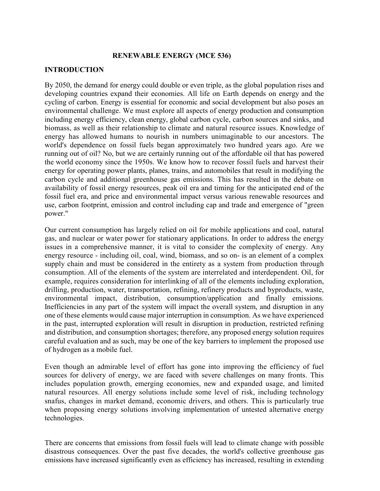### **RENEWABLE ENERGY (MCE 536)**

## **INTRODUCTION**

By 2050, the demand for energy could double or even triple, as the global population rises and developing countries expand their economies. All life on Earth depends on energy and the cycling of carbon. Energy is essential for economic and social development but also poses an environmental challenge. We must explore all aspects of energy production and consumption including energy efficiency, clean energy, global carbon cycle, carbon sources and sinks, and biomass, as well as their relationship to climate and natural resource issues. Knowledge of energy has allowed humans to nourish in numbers unimaginable to our ancestors. The world's dependence on fossil fuels began approximately two hundred years ago. Are we running out of oil? No, but we are certainly running out of the affordable oil that has powered the world economy since the 1950s. We know how to recover fossil fuels and harvest their energy for operating power plants, planes, trains, and automobiles that result in modifying the carbon cycle and additional greenhouse gas emissions. This has resulted in the debate on availability of fossil energy resources, peak oil era and timing for the anticipated end of the fossil fuel era, and price and environmental impact versus various renewable resources and use, carbon footprint, emission and control including cap and trade and emergence of "green power."

Our current consumption has largely relied on oil for mobile applications and coal, natural gas, and nuclear or water power for stationary applications. In order to address the energy issues in a comprehensive manner, it is vital to consider the complexity of energy. Any energy resource - including oil, coal, wind, biomass, and so on- is an element of a complex supply chain and must be considered in the entirety as a system from production through consumption. All of the elements of the system are interrelated and interdependent. Oil, for example, requires consideration for interlinking of all of the elements including exploration, drilling, production, water, transportation, refining, refinery products and byproducts, waste, environmental impact, distribution, consumption/application and finally emissions. Inefficiencies in any part of the system will impact the overall system, and disruption in any one of these elements would cause major interruption in consumption. As we have experienced in the past, interrupted exploration will result in disruption in production, restricted refining and distribution, and consumption shortages; therefore, any proposed energy solution requires careful evaluation and as such, may be one of the key barriers to implement the proposed use of hydrogen as a mobile fuel.

Even though an admirable level of effort has gone into improving the efficiency of fuel sources for delivery of energy, we are faced with severe challenges on many fronts. This includes population growth, emerging economies, new and expanded usage, and limited natural resources. All energy solutions include some level of risk, including technology snafus, changes in market demand, economic drivers, and others. This is particularly true when proposing energy solutions involving implementation of untested alternative energy technologies.

There are concerns that emissions from fossil fuels will lead to climate change with possible disastrous consequences. Over the past five decades, the world's collective greenhouse gas emissions have increased significantly even as efficiency has increased, resulting in extending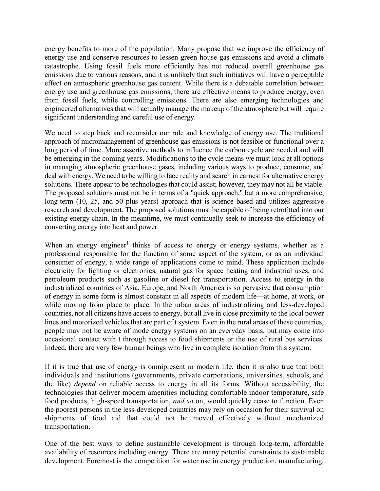energy benefits to more of the population. Many propose that we improve the efficiency of energy use and conserve resources to lessen green house gas emissions and avoid a climate catastrophe. Using fossil fuels more efficiently has not reduced overall greenhouse gas emissions due to various reasons, and it is unlikely that such initiatives will have a perceptible effect on atmospheric greenhouse gas content. While there is a debatable correlation between energy use and greenhouse gas emissions, there are effective means to produce energy, even from fossil fuels, while controlling emissions. There are also emerging technologies and engineered alternatives that will actually manage the makeup of the atmosphere but will require significant understanding and careful use of energy.

We need to step back and reconsider our role and knowledge of energy use. The traditional approach of micromanagement of greenhouse gas emissions is not feasible or functional over a long period of time. More assertive methods to influence the carbon cycle are needed and will be emerging in the coming years. Modifications to the cycle means we must look at all options in managing atmospheric greenhouse gases, including various ways to produce, consume, and deal with energy. We need to be willing to face reality and search in earnest for alternative energy solutions. There appear to be technologies that could assist; however, they may not all be viable. The proposed solutions must not be in terms of a "quick approach," but a more comprehensive, long-term (10, 25, and 50 plus years) approach that is science based and utilizes aggressive research and development. The proposed solutions must be capable of being retrofitted into our existing energy chain. In the meantime, we must continually seek to increase the efficiency of converting energy into heat and power.

When an energy engineer<sup>1</sup> thinks of access to energy or energy systems, whether as a professional responsible for the function of some aspect of the system, or as an individual consumer of energy, a wide range of applications come to mind. These application include electricity for lighting or electronics, natural gas for space heating and industrial uses, and petroleum products such as gasoline or diesel for transportation. Access to energy in the industrialized countries of Asia, Europe, and North America is so pervasive that consumption of energy in some form is almost constant in all aspects of modern life—at home, at work, or while moving from place to place. In the urban areas of industrializing and less-developed countries, not all citizens have access to energy, but all live in close proximity to the local power lines and motorized vehicles that are part of t system. Even in the rural areas of these countries, people may not be aware of mode energy systems on an everyday basis, but may come into occasional contact with t through access to food shipments or the use of rural bus services. Indeed, there are very few human beings who live in complete isolation from this system.

If it is true that use of energy is omnipresent in modern life, then it is also true that both individuals and institutions (governments, private corporations, universities, schools, and the like) *depend* on reliable access to energy in all its forms. Without accessibility, the technologies that deliver modern amenities including comfortable indoor temperature, safe food products, high-speed transportation, *and so* on, would quickly cease to function. Even the poorest persons in the less-developed countries may rely on occasion for their survival on shipments of food aid that could not be moved effectively without mechanized transportation.

One of the best ways to define sustainable development is through long-term, affordable availability of resources including energy. There are many potential constraints to sustainable development. Foremost is the competition for water use in energy production, manufacturing,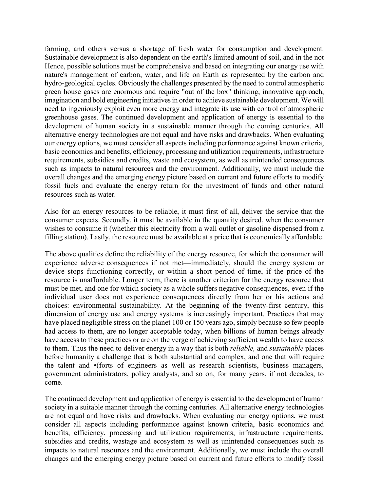farming, and others versus a shortage of fresh water for consumption and development. Sustainable development is also dependent on the earth's limited amount of soil, and in the not Hence, possible solutions must be comprehensive and based on integrating our energy use with nature's management of carbon, water, and life on Earth as represented by the carbon and hydro-geological cycles. Obviously the challenges presented by the need to control atmospheric green house gases are enormous and require "out of the box" thinking, innovative approach, imagination and bold engineering initiatives in order to achieve sustainable development. We will need to ingeniously exploit even more energy and integrate its use with control of atmospheric greenhouse gases. The continued development and application of energy is essential to the development of human society in a sustainable manner through the coming centuries. All alternative energy technologies are not equal and have risks and drawbacks. When evaluating our energy options, we must consider all aspects including performance against known criteria, basic economics and benefits, efficiency, processing and utilization requirements, infrastructure requirements, subsidies and credits, waste and ecosystem, as well as unintended consequences such as impacts to natural resources and the environment. Additionally, we must include the overall changes and the emerging energy picture based on current and future efforts to modify fossil fuels and evaluate the energy return for the investment of funds and other natural resources such as water.

Also for an energy resources to be reliable, it must first of all, deliver the service that the consumer expects. Secondly, it must be available in the quantity desired, when the consumer wishes to consume it (whether this electricity from a wall outlet or gasoline dispensed from a filling station). Lastly, the resource must be available at a price that is economically affordable.

The above qualities define the reliability of the energy resource, for which the consumer will experience adverse consequences if not met—immediately, should the energy system or device stops functioning correctly, or within a short period of time, if the price of the resource is unaffordable. Longer term, there is another criterion for the energy resource that must be met, and one for which society as a whole suffers negative consequences, even if the individual user does not experience consequences directly from her or his actions and choices: environmental sustainability. At the beginning of the twenty-first century, this dimension of energy use and energy systems is increasingly important. Practices that may have placed negligible stress on the planet 100 or 150 years ago, simply because so few people had access to them, are no longer acceptable today, when billions of human beings already have access to these practices or are on the verge of achieving sufficient wealth to have access to them. Thus the need to deliver energy in a way that is both *reliable,* and *sustainable* places before humanity a challenge that is both substantial and complex, and one that will require the talent and •(forts of engineers as well as research scientists, business managers, government administrators, policy analysts, and so on, for many years, if not decades, to come.

The continued development and application of energy is essential to the development of human society in a suitable manner through the coming centuries. All alternative energy technologies are not equal and have risks and drawbacks. When evaluating our energy options, we must consider all aspects including performance against known criteria, basic economics and benefits, efficiency, processing and utilization requirements, infrastructure requirements, subsidies and credits, wastage and ecosystem as well as unintended consequences such as impacts to natural resources and the environment. Additionally, we must include the overall changes and the emerging energy picture based on current and future efforts to modify fossil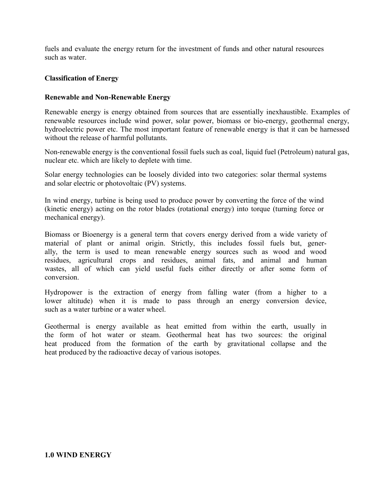fuels and evaluate the energy return for the investment of funds and other natural resources such as water

## **Classification of Energy**

## **Renewable and Non-Renewable Energy**

Renewable energy is energy obtained from sources that are essentially inexhaustible. Examples of renewable resources include wind power, solar power, biomass or bio-energy, geothermal energy, hydroelectric power etc. The most important feature of renewable energy is that it can be harnessed without the release of harmful pollutants.

Non-renewable energy is the conventional fossil fuels such as coal, liquid fuel (Petroleum) natural gas, nuclear etc. which are likely to deplete with time.

Solar energy technologies can be loosely divided into two categories: solar thermal systems and solar electric or photovoltaic (PV) systems.

In wind energy, turbine is being used to produce power by converting the force of the wind (kinetic energy) acting on the rotor blades (rotational energy) into torque (turning force or mechanical energy).

Biomass or Bioenergy is a general term that covers energy derived from a wide variety of material of plant or animal origin. Strictly, this includes fossil fuels but, generally, the term is used to mean renewable energy sources such as wood and wood residues, agricultural crops and residues, animal fats, and animal and human wastes, all of which can yield useful fuels either directly or after some form of conversion.

Hydropower is the extraction of energy from falling water (from a higher to a lower altitude) when it is made to pass through an energy conversion device, such as a water turbine or a water wheel.

Geothermal is energy available as heat emitted from within the earth, usually in the form of hot water or steam. Geothermal heat has two sources: the original heat produced from the formation of the earth by gravitational collapse and the heat produced by the radioactive decay of various isotopes.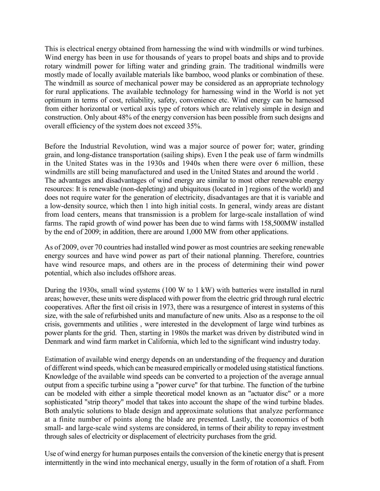This is electrical energy obtained from harnessing the wind with windmills or wind turbines. Wind energy has been in use for thousands of years to propel boats and ships and to provide rotary windmill power for lifting water and grinding grain. The traditional windmills were mostly made of locally available materials like bamboo, wood planks or combination of these. The windmill as source of mechanical power may be considered as an appropriate technology for rural applications. The available technology for harnessing wind in the World is not yet optimum in terms of cost, reliability, safety, convenience etc. Wind energy can be harnessed from either horizontal or vertical axis type of rotors which are relatively simple in design and construction. Only about 48% of the energy conversion has been possible from such designs and overall efficiency of the system does not exceed 35%.

Before the Industrial Revolution, wind was a major source of power for; water, grinding grain, and long-distance transportation (sailing ships). Even I the peak use of farm windmills in the United States was in the 1930s and 1940s when there were over 6 million, these windmills are still being manufactured and used in the United States and around the world . The advantages and disadvantages of wind energy are similar to most other renewable energy resources: It is renewable (non-depleting) and ubiquitous (located in ] regions of the world) and does not require water for the generation of electricity, disadvantages are that it is variable and a low-density source, which then 1 into high initial costs. In general, windy areas are distant from load centers, means that transmission is a problem for large-scale installation of wind farms. The rapid growth of wind power has been due to wind farms with 158,500MW installed by the end of 2009; in addition, there are around 1,000 MW from other applications.

As of 2009, over 70 countries had installed wind power as most countries are seeking renewable energy sources and have wind power as part of their national planning. Therefore, countries have wind resource maps, and others are in the process of determining their wind power potential, which also includes offshore areas.

During the 1930s, small wind systems (100 W to 1 kW) with batteries were installed in rural areas; however, these units were displaced with power from the electric grid through rural electric cooperatives. After the first oil crisis in 1973, there was a resurgence of interest in systems of this size, with the sale of refurbished units and manufacture of new units. Also as a response to the oil crisis, governments and utilities , were interested in the development of large wind turbines as power plants for the grid. Then, starting in 1980s the market was driven by distributed wind in Denmark and wind farm market in California, which led to the significant wind industry today.

Estimation of available wind energy depends on an understanding of the frequency and duration of different wind speeds, which can be measured empirically or modeled using statistical functions. Knowledge of the available wind speeds can be converted to a projection of the average annual output from a specific turbine using a "power curve" for that turbine. The function of the turbine can be modeled with either a simple theoretical model known as an "actuator disc" or a more sophisticated "strip theory" model that takes into account the shape of the wind turbine blades. Both analytic solutions to blade design and approximate solutions that analyze performance at a finite number of points along the blade are presented. Lastly, the economics of both small- and large-scale wind systems are considered, in terms of their ability to repay investment through sales of electricity or displacement of electricity purchases from the grid.

Use of wind energy for human purposes entails the conversion of the kinetic energy that is present intermittently in the wind into mechanical energy, usually in the form of rotation of a shaft. From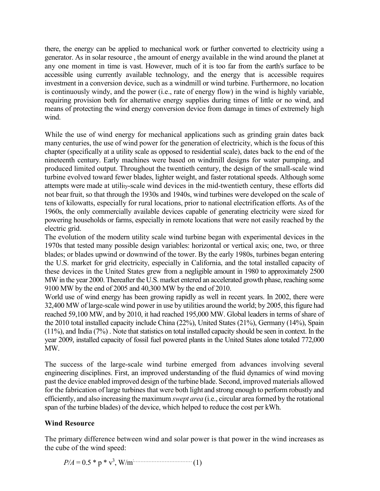there, the energy can be applied to mechanical work or further converted to electricity using a generator. As in solar resource , the amount of energy available in the wind around the planet at any one moment in time is vast. However, much of it is too far from the earth's surface to be accessible using currently available technology, and the energy that is accessible requires investment in a conversion device, such as a windmill or wind turbine. Furthermore, no location is continuously windy, and the power (i.e., rate of energy flow) in the wind is highly variable, requiring provision both for alternative energy supplies during times of little or no wind, and means of protecting the wind energy conversion device from damage in times of extremely high wind.

While the use of wind energy for mechanical applications such as grinding grain dates back many centuries, the use of wind power for the generation of electricity, which is the focus of this chapter (specifically at a utility scale as opposed to residential scale), dates back to the end of the nineteenth century. Early machines were based on windmill designs for water pumping, and produced limited output. Throughout the twentieth century, the design of the small-scale wind turbine evolved toward fewer blades, lighter weight, and faster rotational speeds. Although some attempts were made at utility-scale wind devices in the mid-twentieth century, these efforts did not bear fruit, so that through the 1930s and 1940s, wind turbines were developed on the scale of tens of kilowatts, especially for rural locations, prior to national electrification efforts. As of the 1960s, the only commercially available devices capable of generating electricity were sized for powering households or farms, especially in remote locations that were not easily reached by the electric grid.

The evolution of the modern utility scale wind turbine began with experimental devices in the 1970s that tested many possible design variables: horizontal or vertical axis; one, two, or three blades; or blades upwind or downwind of the tower. By the early 1980s, turbines began entering the U.S. market for grid electricity, especially in California, and the total installed capacity of these devices in the United States grew from a negligible amount in 1980 to approximately 2500 MW in the year 2000. Thereafter the U.S. market entered an accelerated growth phase, reaching some 9100 MW by the end of 2005 and 40,300 MW by the end of 2010.

World use of wind energy has been growing rapidly as well in recent years. In 2002, there were 32,400 MW of large-scale wind power in use by utilities around the world; by 2005, this figure had reached 59,100 MW, and by 2010, it had reached 195,000 MW. Global leaders in terms of share of the 2010 total installed capacity include China (22%), United States (21%), Germany (14%), Spain (11%), and India (7%) . Note that statistics on total installed capacity should be seen in context. In the year 2009, installed capacity of fossil fuel powered plants in the United States alone totaled 772,000 MW.

The success of the large-scale wind turbine emerged from advances involving several engineering disciplines. First, an improved understanding of the fluid dynamics of wind moving past the device enabled improved design of the turbine blade. Second, improved materials allowed for the fabrication of large turbines that were both light and strong enough to perform robustly and efficiently, and also increasing the maximum *swept area* (i.e., circular area formed by the rotational span of the turbine blades) of the device, which helped to reduce the cost per kWh.

# **Wind Resource**

The primary difference between wind and solar power is that power in the wind increases as the cube of the wind speed:

$$
P/A = 0.5 * p * v3, W/m
$$
 (1)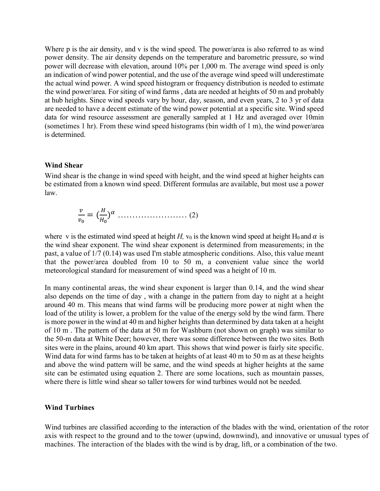Where p is the air density, and v is the wind speed. The power/area is also referred to as wind power density. The air density depends on the temperature and barometric pressure, so wind power will decrease with elevation, around 10% per 1,000 m. The average wind speed is only an indication of wind power potential, and the use of the average wind speed will underestimate the actual wind power. A wind speed histogram or frequency distribution is needed to estimate the wind power/area. For siting of wind farms , data are needed at heights of 50 m and probably at hub heights. Since wind speeds vary by hour, day, season, and even years, 2 to 3 yr of data are needed to have a decent estimate of the wind power potential at a specific site. Wind speed data for wind resource assessment are generally sampled at 1 Hz and averaged over 10min (sometimes 1 hr). From these wind speed histograms (bin width of 1 m), the wind power/area is determined.

#### **Wind Shear**

Wind shear is the change in wind speed with height, and the wind speed at higher heights can be estimated from a known wind speed. Different formulas are available, but most use a power law.

$$
\frac{v}{v_0} = \left(\frac{H}{H_0}\right)^{\alpha} \dots \dots \dots \dots \dots \dots \dots \dots \tag{2}
$$

where v is the estimated wind speed at height *H*,  $v_0$  is the known wind speed at height H<sub>0</sub> and  $\alpha$  is the wind shear exponent. The wind shear exponent is determined from measurements; in the past, a value of 1/7 (0.14) was used I'm stable atmospheric conditions. Also, this value meant that the power/area doubled from 10 to 50 m, a convenient value since the world meteorological standard for measurement of wind speed was a height of 10 m.

In many continental areas, the wind shear exponent is larger than 0.14, and the wind shear also depends on the time of day , with a change in the pattern from day to night at a height around 40 m. This means that wind farms will be producing more power at night when the load of the utility is lower, a problem for the value of the energy sold by the wind farm. There is more power in the wind at 40 m and higher heights than determined by data taken at a height of 10 m . The pattern of the data at 50 m for Washburn (not shown on graph) was similar to the 50-m data at White Deer; however, there was some difference between the two sites. Both sites were in the plains, around 40 km apart. This shows that wind power is fairly site specific. Wind data for wind farms has to be taken at heights of at least 40 m to 50 m as at these heights and above the wind pattern will be same, and the wind speeds at higher heights at the same site can be estimated using equation 2. There are some locations, such as mountain passes, where there is little wind shear so taller towers for wind turbines would not be needed.

#### **Wind Turbines**

Wind turbines are classified according to the interaction of the blades with the wind, orientation of the rotor axis with respect to the ground and to the tower (upwind, downwind), and innovative or unusual types of machines. The interaction of the blades with the wind is by drag, lift, or a combination of the two.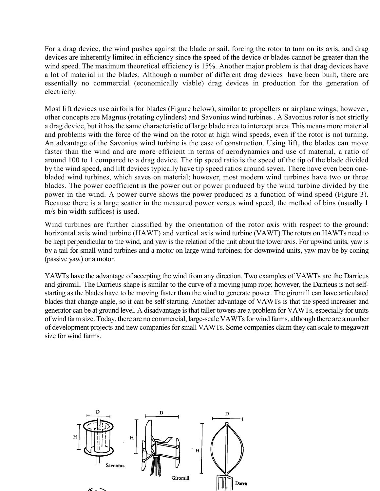For a drag device, the wind pushes against the blade or sail, forcing the rotor to turn on its axis, and drag devices are inherently limited in efficiency since the speed of the device or blades cannot be greater than the wind speed. The maximum theoretical efficiency is 15%. Another major problem is that drag devices have a lot of material in the blades. Although a number of different drag devices have been built, there are essentially no commercial (economically viable) drag devices in production for the generation of electricity.

Most lift devices use airfoils for blades (Figure below), similar to propellers or airplane wings; however, other concepts are Magnus (rotating cylinders) and Savonius wind turbines . A Savonius rotor is not strictly a drag device, but it has the same characteristic of large blade area to intercept area. This means more material and problems with the force of the wind on the rotor at high wind speeds, even if the rotor is not turning. An advantage of the Savonius wind turbine is the ease of construction. Using lift, the blades can move faster than the wind and are more efficient in terms of aerodynamics and use of material, a ratio of around 100 to 1 compared to a drag device. The tip speed ratio is the speed of the tip of the blade divided by the wind speed, and lift devices typically have tip speed ratios around seven. There have even been onebladed wind turbines, which saves on material; however, most modern wind turbines have two or three blades. The power coefficient is the power out or power produced by the wind turbine divided by the power in the wind. A power curve shows the power produced as a function of wind speed (Figure 3). Because there is a large scatter in the measured power versus wind speed, the method of bins (usually 1 m/s bin width suffices) is used.

Wind turbines are further classified by the orientation of the rotor axis with respect to the ground: horizontal axis wind turbine (HAWT) and vertical axis wind turbine (VAWT).The rotors on HAWTs need to be kept perpendicular to the wind, and yaw is the relation of the unit about the tower axis. For upwind units, yaw is by a tail for small wind turbines and a motor on large wind turbines; for downwind units, yaw may be by coning (passive yaw) or a motor.

YAWTs have the advantage of accepting the wind from any direction. Two examples of VAWTs are the Darrieus and giromill. The Darrieus shape is similar to the curve of a moving jump rope; however, the Darrieus is not selfstarting as the blades have to be moving faster than the wind to generate power. The giromill can have articulated blades that change angle, so it can be self starting. Another advantage of VAWTs is that the speed increaser and generator can be at ground level. A disadvantage is that taller towers are a problem for VAWTs, especially for units of wind farm size. Today, there are no commercial, large-scale VAWTs for wind farms, although there are a number of development projects and new companies for small VAWTs. Some companies claim they can scale to megawatt size for wind farms.

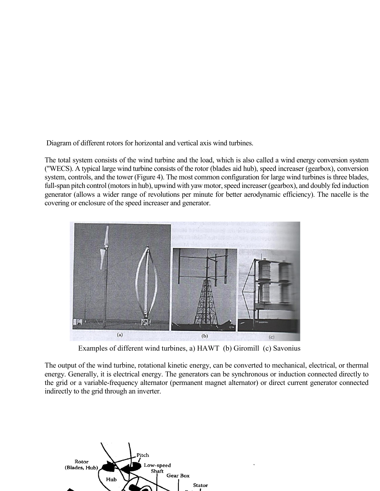Diagram of different rotors for horizontal and vertical axis wind turbines.

The total system consists of the wind turbine and the load, which is also called a wind energy conversion system ("WECS). A typical large wind turbine consists of the rotor (blades aid hub), speed increaser (gearbox), conversion system, controls, and the tower (Figure 4). The most common configuration for large wind turbines is three blades, full-span pitch control (motors in hub), upwind with yaw motor, speed increaser (gearbox), and doubly fed induction generator (allows a wider range of revolutions per minute for better aerodynamic efficiency). The nacelle is the covering or enclosure of the speed increaser and generator.



Examples of different wind turbines, a) HAWT (b) Giromill (c) Savonius

The output of the wind turbine, rotational kinetic energy, can be converted to mechanical, electrical, or thermal energy. Generally, it is electrical energy. The generators can be synchronous or induction connected directly to the grid or a variable-frequency alternator (permanent magnet alternator) or direct current generator connected indirectly to the grid through an inverter.

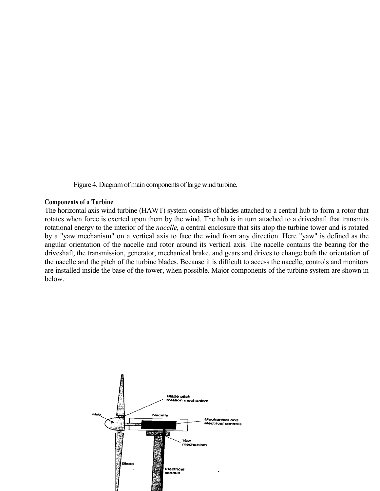Figure 4. Diagram of main components of large wind turbine.

#### **Components of a Turbine**

The horizontal axis wind turbine (HAWT) system consists of blades attached to a central hub to form a rotor that rotates when force is exerted upon them by the wind. The hub is in turn attached to a driveshaft that transmits rotational energy to the interior of the *nacelle,* a central enclosure that sits atop the turbine tower and is rotated by a "yaw mechanism" on a vertical axis to face the wind from any direction. Here "yaw" is defined as the angular orientation of the nacelle and rotor around its vertical axis. The nacelle contains the bearing for the driveshaft, the transmission, generator, mechanical brake, and gears and drives to change both the orientation of the nacelle and the pitch of the turbine blades. Because it is difficult to access the nacelle, controls and monitors are installed inside the base of the tower, when possible. Major components of the turbine system are shown in below.

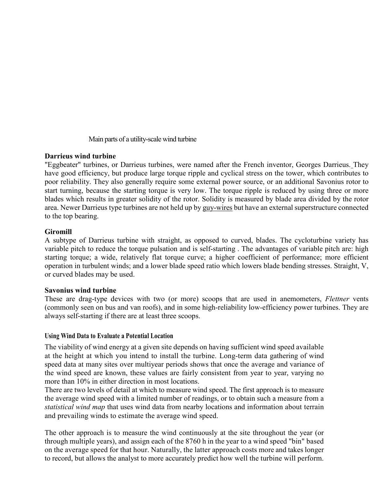Main parts of a utility-scale wind turbine

### **[Darrieus wind](http://en.wikipedia.org/wiki/Darrieus_wind_turbine) turbine**

"Eggbeater" turbines, or Darrieus turbines, were named after the French inventor, Georges Darrieus. They have good efficiency, but produce large torque ripple and cyclical stress on the tower, which contributes to poor reliability. They also generally require some external power source, or an additional Savonius rotor to start turning, because the starting torque is very low. The torque ripple is reduced by using three or more blades which results in greater solidity of the rotor. Solidity is measured by blade area divided by the rotor area. Newer Darrieus type turbines are not held up by [guy-wires](http://en.wikipedia.org/wiki/Guy-wire) but have an external superstructure connected to the top bearing.

## **[Giromill](http://en.wikipedia.org/wiki/Giromill)**

A subtype of Darrieus turbine with straight, as opposed to curved, blades. The cycloturbine variety has variable pitch to reduce the torque pulsation and is self-starting . The advantages of variable pitch are: high starting torque; a wide, relatively flat torque curve; a higher coefficient of performance; more efficient operation in turbulent winds; and a lower blade speed ratio which lowers blade bending stresses. Straight, V, or curved blades may be used.

### **[Savonius wind turbine](http://en.wikipedia.org/wiki/Savonius_wind_turbine)**

These are drag-type devices with two (or more) scoops that are used in anemometers, *Flettner* vents (commonly seen on bus and van roofs), and in some high-reliability low-efficiency power turbines. They are always self-starting if there are at least three scoops.

### **Using Wind Data to Evaluate a Potential Location**

The viability of wind energy at a given site depends on having sufficient wind speed available at the height at which you intend to install the turbine. Long-term data gathering of wind speed data at many sites over multiyear periods shows that once the average and variance of the wind speed are known, these values are fairly consistent from year to year, varying no more than 10% in either direction in most locations.

There are two levels of detail at which to measure wind speed. The first approach is to measure the average wind speed with a limited number of readings, or to obtain such a measure from a *statistical wind map* that uses wind data from nearby locations and information about terrain and prevailing winds to estimate the average wind speed.

The other approach is to measure the wind continuously at the site throughout the year (or through multiple years), and assign each of the 8760 h in the year to a wind speed "bin" based on the average speed for that hour. Naturally, the latter approach costs more and takes longer to record, but allows the analyst to more accurately predict how well the turbine will perform.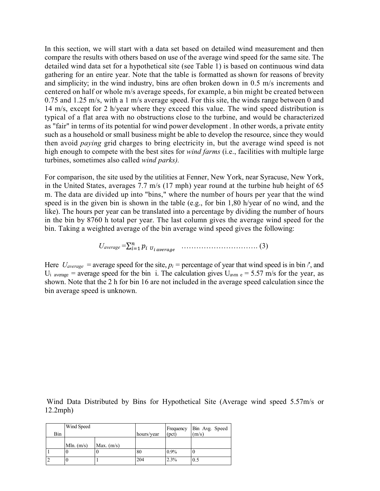In this section, we will start with a data set based on detailed wind measurement and then compare the results with others based on use of the average wind speed for the same site. The detailed wind data set for a hypothetical site (see Table 1) is based on continuous wind data gathering for an entire year. Note that the table is formatted as shown for reasons of brevity and simplicity; in the wind industry, bins are often broken down in 0.5 m/s increments and centered on half or whole m/s average speeds, for example, a bin might be created between 0.75 and 1.25 m/s, with a 1 m/s average speed. For this site, the winds range between 0 and 14 m/s, except for 2 h/year where they exceed this value. The wind speed distribution is typical of a flat area with no obstructions close to the turbine, and would be characterized as "fair" in terms of its potential for wind power development . In other words, a private entity such as a household or small business might be able to develop the resource, since they would then avoid *paying* grid charges to bring electricity in, but the average wind speed is not high enough to compete with the best sites for *wind farms* (i.e., facilities with multiple large turbines, sometimes also called *wind parks).*

For comparison, the site used by the utilities at Fenner, New York, near Syracuse, New York, in the United States, averages 7.7 m/s (17 mph) year round at the turbine hub height of 65 m. The data are divided up into "bins," where the number of hours per year that the wind speed is in the given bin is shown in the table (e.g., for bin 1,80 h/year of no wind, and the like). The hours per year can be translated into a percentage by dividing the number of hours in the bin by 8760 h total per year. The last column gives the average wind speed for the bin. Taking a weighted average of the bin average wind speed gives the following:

 *Uaverage =*∑ …………………………. (3)

Here  $U_{average}$  = average speed for the site,  $p_i$  = percentage of year that wind speed is in bin  $\ell$ , and  $U_i$  average = average speed for the bin i. The calculation gives  $U_{\text{avm}} e = 5.57$  m/s for the year, as shown. Note that the 2 h for bin 16 are not included in the average speed calculation since the bin average speed is unknown.

Wind Data Distributed by Bins for Hypothetical Site (Average wind speed 5.57m/s or 12.2mph)

|     | Wind Speed   |              |            | Frequency | Bin Avg. Speed |
|-----|--------------|--------------|------------|-----------|----------------|
| Bin |              |              | hours/year | (pct)     | (m/s)          |
|     | Mln. $(m/s)$ | Max. $(m/s)$ |            |           |                |
|     |              |              | 80         | $0.9\%$   |                |
|     | U            |              | 204        | 2.3%      | 0.5            |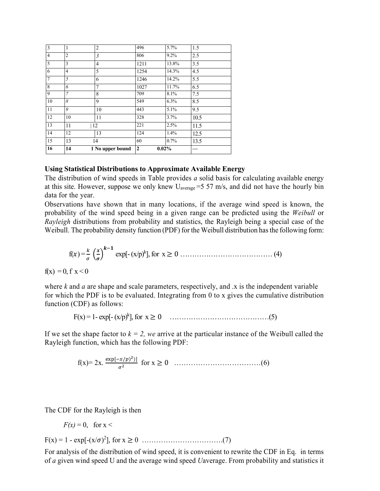| $\overline{3}$ | 1              | $\overline{2}$   | 496          | 5.7%  | 1.5  |
|----------------|----------------|------------------|--------------|-------|------|
| $\overline{4}$ | $\overline{2}$ | $\mathfrak{Z}$   | 806          | 9.2%  | 2.5  |
| 5              | 3              | $\overline{4}$   | 1211         | 13.8% | 3.5  |
| 6              | $\overline{4}$ | 5                | 1254         | 14.3% | 4.5  |
| $\overline{7}$ | 5              | 6                | 1246         | 14.2% | 5.5  |
| 8              | 6              | 7                | 1027         | 11.7% | 6.5  |
| 9              | $\overline{7}$ | 8                | 709          | 8.1%  | 7.5  |
| 10             | 8              | 9                | 549          | 6.3%  | 8.5  |
| 11             | 9              | 10               | 443          | 5.1%  | 9.5  |
| 12             | 10             | 11               | 328          | 3.7%  | 10.5 |
| 13             | 11             | 12               | 221          | 2.5%  | 11.5 |
| 14             | 12             | 13               | 124          | 1.4%  | 12.5 |
| 15             | 13             | 14               | 60           | 0.7%  | 13.5 |
| 16             | 14             | 1 No upper bound | $\mathbf{2}$ | 0.02% |      |

#### **Using Statistical Distributions to Approximate Available Energy**

The distribution of wind speeds in Table provides *a* solid basis for calculating available energy at this site. However, suppose we only knew  $U_{\text{average}} = 5.57 \text{ m/s}$ , and did not have the hourly bin data for the year.

Observations have shown that in many locations, if the average wind speed is known, the probability of the wind speed being in a given range can be predicted using the *Weibull* or *Rayleigh* distributions from probability and statistics, the Rayleigh being a special case of the Weibull. The probability density function (PDF) for the Weibull distribution has the following form:

 f() = exp[-(x/p)k ], for x ≥ 0 ………………………………… (4)

 $f(x) = 0, f x < 0$ 

where *k* and *a* are shape and scale parameters, respectively, and x is the independent variable for which the PDF is to be evaluated. Integrating from 0 to x gives the cumulative distribution function (CDF) as follows:

F(x) = 1- exp[-(x/p)k ], for x ≥ 0 ……………………………………(5)

If we set the shape factor to  $k = 2$ , we arrive at the particular instance of the Weibull called the Rayleigh function, which has the following PDF:

$$
f(x)=2x.\frac{\exp[-x/p)^2]}{\sigma^2}
$$
 for  $x \ge 0$  ....... (6)

The CDF for the Rayleigh is then

$$
F(x) = 0, \text{ for } x <
$$

F(x) = 1 - exp[-(x/) 2 ], for x ≥ 0 …………………………….(7)

For analysis of the distribution of wind speed, it is convenient to rewrite the CDF in Eq. in terms of *a* given wind speed U and the average wind speed *U*average. From probability and statistics it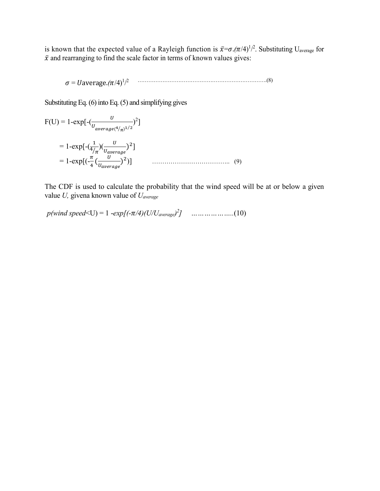is known that the expected value of a Rayleigh function is  $\bar{x} = \sigma.(\pi/4)^{1/2}$ . Substituting U<sub>average</sub> for  $\bar{x}$  and rearranging to find the scale factor in terms of known values gives:

= average.*(*/4)1 / 2 ……………………………………………………………….(8)

Substituting Eq. (6) into Eq. (5) and simplifying gives

$$
F(U) = 1 - \exp[-\left(\frac{U}{U_{average}(4_{\pi})^{1/2}}\right)^{2}]
$$
  
= 1 - \exp[-\left(\frac{1}{4\_{\pi}}\right)\left(\frac{U}{U\_{average}}\right)^{2}]  
= 1 - \exp[-\frac{\pi}{4}\left(\frac{U}{U\_{average}}\right)^{2}] \qquad \dots \qquad (9)

The CDF is used to calculate the probability that the wind speed will be at or below a given value *U,* givena known value of *Uaverage*

 $p(\text{wind speed} < U) = 1 - exp[(-\pi/4)(U/U_{\text{average}})^2]$  ………………...(10)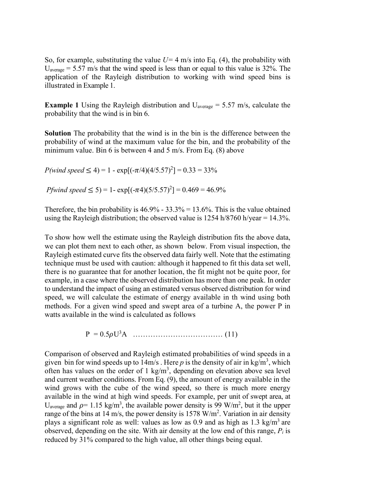So, for example, substituting the value  $U=4$  m/s into Eq. (4), the probability with  $U_{\text{average}} = 5.57 \text{ m/s}$  that the wind speed is less than or equal to this value is 32%. The application of the Rayleigh distribution to working with wind speed bins is illustrated in Example 1.

**Example 1** Using the Rayleigh distribution and  $U_{\text{average}} = 5.57 \text{ m/s}$ , calculate the probability that the wind is in bin 6.

**Solution** The probability that the wind is in the bin is the difference between the probability of wind at the maximum value for the bin, and the probability of the minimum value. Bin 6 is between 4 and 5 m/s. From Eq. (8) above

 $P(\text{wind speed} \leq 4) = 1 - \exp[(-\pi/4)(4/5.57)^2] = 0.33 = 33\%$ 

*Pfwind speed* ≤ 5) = 1 -  $\exp[(-\pi 4)(5/5.57)^2]$  = 0.469 = 46.9%

Therefore, the bin probability is  $46.9\%$  -  $33.3\%$  = 13.6%. This is the value obtained using the Rayleigh distribution; the observed value is 1254 h/8760 h/year = 14.3%.

To show how well the estimate using the Rayleigh distribution fits the above data, we can plot them next to each other, as shown below. From visual inspection, the Rayleigh estimated curve fits the observed data fairly well. Note that the estimating technique must be used with caution: although it happened to fit this data set well, there is no guarantee that for another location, the fit might not be quite poor, for example, in a case where the observed distribution has more than one peak. In order to understand the impact of using an estimated versus observed distribution for wind speed, we will calculate the estimate of energy available in th wind using both methods. For a given wind speed and swept area of a turbine A, the power P in watts available in the wind is calculated as follows

P = 0.5U<sup>3</sup> A ……………………………… (11)

Comparison of observed and Rayleigh estimated probabilities of wind speeds in a given bin for wind speeds up to  $14m/s$ . Here p is the density of air in kg/m<sup>3</sup>, which often has values on the order of  $1 \text{ kg/m}^3$ , depending on elevation above sea level and current weather conditions. From Eq. (9), the amount of energy available in the wind grows with the cube of the wind speed, so there is much more energy available in the wind at high wind speeds. For example, per unit of swept area, at U<sub>average</sub> and  $\rho = 1.15 \text{ kg/m}^3$ , the available power density is 99 W/m<sup>2</sup>, but it the upper range of the bins at 14 m/s, the power density is  $1578 \text{ W/m}^2$ . Variation in air density plays a significant role as well: values as low as 0.9 and as high as 1.3 kg/m<sup>3</sup> are observed, depending on the site. With air density at the low end of this range,  $P_i$  is reduced by 31% compared to the high value, all other things being equal.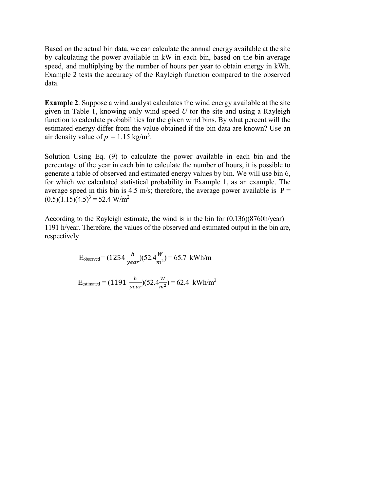Based on the actual bin data, we can calculate the annual energy available at the site by calculating the power available in kW in each bin, based on the bin average speed, and multiplying by the number of hours per year to obtain energy in kWh. Example 2 tests the accuracy of the Rayleigh function compared to the observed data.

**Example 2**. Suppose a wind analyst calculates the wind energy available at the site given in Table 1, knowing only wind speed *U* tor the site and using a Rayleigh function to calculate probabilities for the given wind bins. By what percent will the estimated energy differ from the value obtained if the bin data are known? Use an air density value of  $p = 1.15 \text{ kg/m}^3$ .

Solution Using Eq. (9) to calculate the power available in each bin and the percentage of the year in each bin to calculate the number of hours, it is possible to generate a table of observed and estimated energy values by bin. We will use bin 6, for which we calculated statistical probability in Example 1, as an example. The average speed in this bin is 4.5 m/s; therefore, the average power available is  $P =$  $(0.5)(1.15)(4.5)^3 = 52.4$  W/m<sup>2</sup>

According to the Rayleigh estimate, the wind is in the bin for  $(0.136)(8760h/year)$  = 1191 h/year. Therefore, the values of the observed and estimated output in the bin are, respectively

$$
E_{\text{observed}} = (1254 \frac{h}{year})(52.4 \frac{W}{m^2}) = 65.7 \text{ kWh/m}
$$

$$
E_{\text{estimated}} = (1191 \frac{h}{year})(52.4 \frac{W}{m^2}) = 62.4 \text{ kWh/m}^2
$$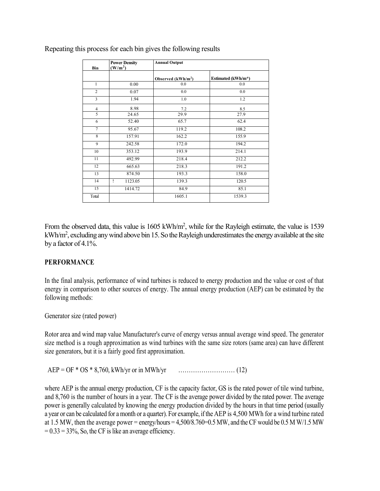| Bin            | <b>Power Density</b><br>(W/m <sup>2</sup> ) | <b>Annual Output</b> |                    |  |  |
|----------------|---------------------------------------------|----------------------|--------------------|--|--|
|                |                                             | Observed $(kWh/m2)$  | Estimated (kWh/m*) |  |  |
| $\mathbf{1}$   | 0.00                                        | 0.0                  | 0.0                |  |  |
| $\overline{2}$ | 0.07                                        | 0.0                  | 0.0                |  |  |
| $\overline{3}$ | 1.94                                        | 1.0                  | 1.2                |  |  |
| $\overline{4}$ | 8.98                                        | 7.2                  | 8.5                |  |  |
| $\overline{5}$ | 24.65                                       | 29.9                 | 27.9               |  |  |
| 6              | 52.40                                       | 65.7                 | 62.4               |  |  |
| $\overline{7}$ | 95.67                                       | 119.2                | 108.2              |  |  |
| 8              | 157.91                                      | 162.2                | 155.9              |  |  |
| $\overline{9}$ | 242.58                                      | 172.0                | 194.2              |  |  |
| 10             | 353.12                                      | 193.9                | 214.1              |  |  |
| 11             | 492.99                                      | 218.4                | 212.2              |  |  |
| 12             | 665.63                                      | 218.3                | 191.2              |  |  |
| 13             | 874.50                                      | 193.3                | 158.0              |  |  |
| 14             | 1123.05<br>Ţ                                | 139.3                | 120.5              |  |  |
| 15             | 1414.72                                     | 84.9                 | 85.1               |  |  |
| Total          |                                             | 1605.1               | 1539.3             |  |  |

Repeating this process for each bin gives the following results

From the observed data, this value is 1605 kWh/m<sup>2</sup>, while for the Rayleigh estimate, the value is 1539  $kWh/m<sup>2</sup>$ , excluding any wind above bin 15. So the Rayleigh underestimates the energy available at the site by a factor of 4.1%.

### **PERFORMANCE**

In the final analysis, performance of wind turbines is reduced to energy production and the value or cost of that energy in comparison to other sources of energy. The annual energy production (AEP) can be estimated by the following methods:

Generator size (rated power)

Rotor area and wind map value Manufacturer's curve of energy versus annual average wind speed. The generator size method is a rough approximation as wind turbines with the same size rotors (same area) can have different size generators, but it is a fairly good first approximation.

AEP = OF \* OS \* 8,760, kWh/yr or in MWh/yr ……………………… (12)

where AEP is the annual energy production, CF is the capacity factor, GS is the rated power of tile wind turbine, and 8,760 is the number of hours in a year. The CF is the average power divided by the rated power. The average power is generally calculated by knowing the energy production divided by the hours in that time period (usually a year or can be calculated for a month or a quarter). For example, if the AEP is 4,500 MWh for a wind turbine rated at 1.5 MW, then the average power = energy/hours = 4,500/8.760=0.5 MW, and the CF would be 0.5 M W/1.5 MW  $= 0.33 = 33\%$ , So, the CF is like an average efficiency.